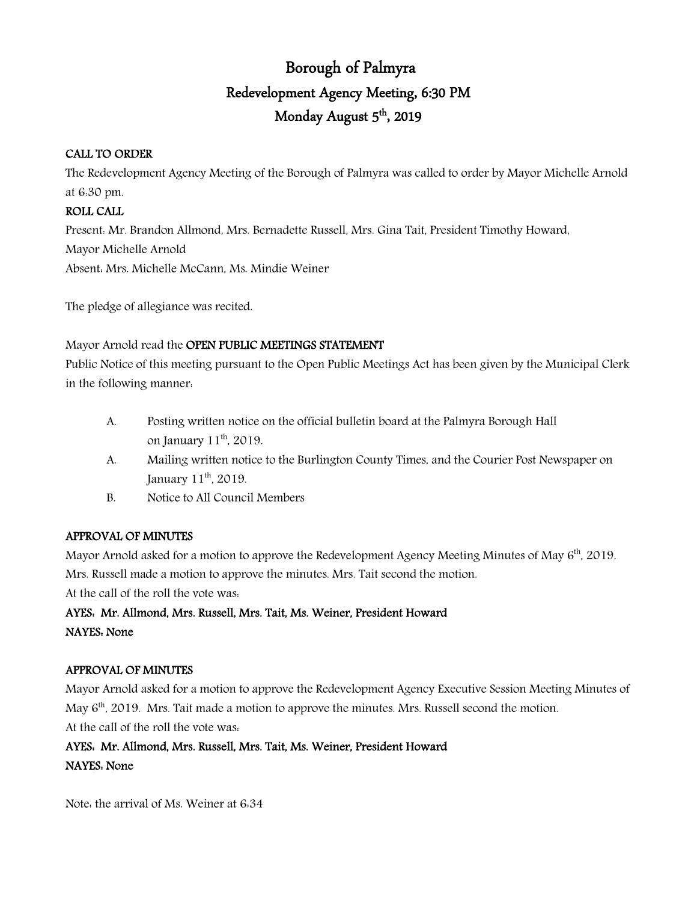# Borough of Palmyra Redevelopment Agency Meeting, 6:30 PM Monday August 5<sup>th</sup>, 2019

## CALL TO ORDER

The Redevelopment Agency Meeting of the Borough of Palmyra was called to order by Mayor Michelle Arnold at 6:30 pm.

## ROLL CALL

Present: Mr. Brandon Allmond, Mrs. Bernadette Russell, Mrs. Gina Tait, President Timothy Howard, Mayor Michelle Arnold Absent: Mrs. Michelle McCann, Ms. Mindie Weiner

The pledge of allegiance was recited.

Mayor Arnold read the OPEN PUBLIC MEETINGS STATEMENT

Public Notice of this meeting pursuant to the Open Public Meetings Act has been given by the Municipal Clerk in the following manner:

- A. Posting written notice on the official bulletin board at the Palmyra Borough Hall on January  $11<sup>th</sup>$ , 2019.
- A. Mailing written notice to the Burlington County Times, and the Courier Post Newspaper on January  $11^{\text{th}}$ , 2019.
- B. Notice to All Council Members

## APPROVAL OF MINUTES

Mayor Arnold asked for a motion to approve the Redevelopment Agency Meeting Minutes of May  $6<sup>th</sup>$ , 2019. Mrs. Russell made a motion to approve the minutes. Mrs. Tait second the motion. At the call of the roll the vote was:

# AYES: Mr. Allmond, Mrs. Russell, Mrs. Tait, Ms. Weiner, President Howard NAYES: None

## APPROVAL OF MINUTES

Mayor Arnold asked for a motion to approve the Redevelopment Agency Executive Session Meeting Minutes of May 6<sup>th</sup>, 2019. Mrs. Tait made a motion to approve the minutes. Mrs. Russell second the motion. At the call of the roll the vote was:

## AYES: Mr. Allmond, Mrs. Russell, Mrs. Tait, Ms. Weiner, President Howard NAYES: None

Note: the arrival of Ms. Weiner at 6:34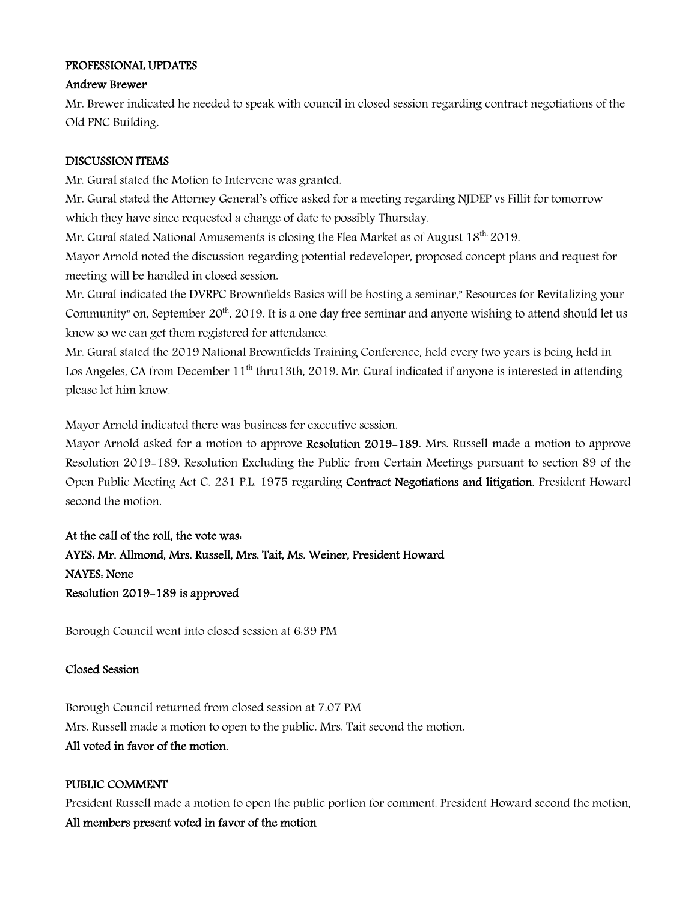### PROFESSIONAL UPDATES

#### Andrew Brewer

Mr. Brewer indicated he needed to speak with council in closed session regarding contract negotiations of the Old PNC Building.

#### DISCUSSION ITEMS

Mr. Gural stated the Motion to Intervene was granted.

Mr. Gural stated the Attorney General's office asked for a meeting regarding NJDEP vs Fillit for tomorrow which they have since requested a change of date to possibly Thursday.

Mr. Gural stated National Amusements is closing the Flea Market as of August 18<sup>th,</sup> 2019.

Mayor Arnold noted the discussion regarding potential redeveloper, proposed concept plans and request for meeting will be handled in closed session.

Mr. Gural indicated the DVRPC Brownfields Basics will be hosting a seminar," Resources for Revitalizing your Community" on, September 20<sup>th</sup>, 2019. It is a one day free seminar and anyone wishing to attend should let us know so we can get them registered for attendance.

Mr. Gural stated the 2019 National Brownfields Training Conference, held every two years is being held in Los Angeles, CA from December 11<sup>th</sup> thru13th, 2019. Mr. Gural indicated if anyone is interested in attending please let him know.

Mayor Arnold indicated there was business for executive session.

Mayor Arnold asked for a motion to approve Resolution 2019–189. Mrs. Russell made a motion to approve Resolution 2019-189, Resolution Excluding the Public from Certain Meetings pursuant to section 89 of the Open Public Meeting Act C. 231 P.L. 1975 regarding Contract Negotiations and litigation. President Howard second the motion.

At the call of the roll, the vote was: AYES: Mr. Allmond, Mrs. Russell, Mrs. Tait, Ms. Weiner, President Howard NAYES: None Resolution 2019-189 is approved

Borough Council went into closed session at 6:39 PM

#### Closed Session

Borough Council returned from closed session at 7.07 PM Mrs. Russell made a motion to open to the public. Mrs. Tait second the motion. All voted in favor of the motion.

#### PUBLIC COMMENT

President Russell made a motion to open the public portion for comment. President Howard second the motion. All members present voted in favor of the motion